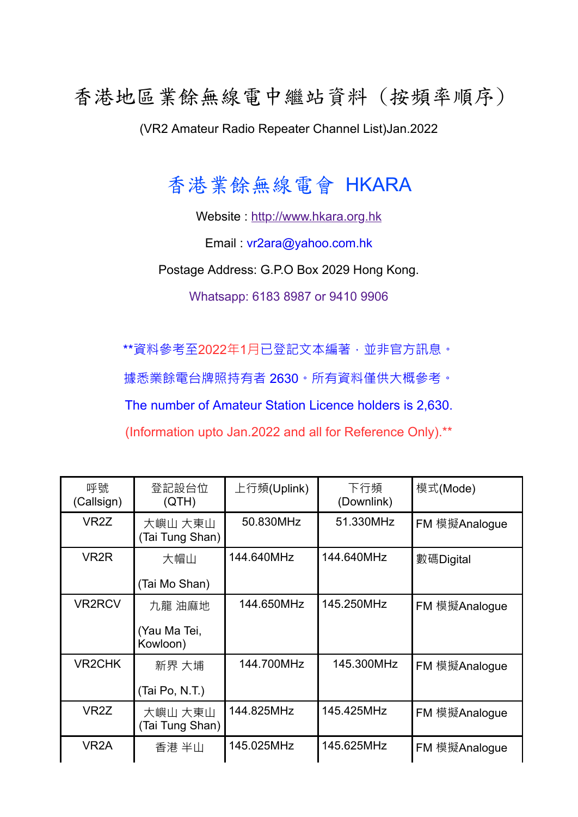## 香港地區業餘無線電中繼站資料 (按頻率順序)

(VR2 Amateur Radio Repeater Channel List)Jan.2022

## 香港業餘無線電會 HKARA

Website : [http://www.hkara.org.hk](http://www.hkara.org.hk/)

Email : vr2ara@yahoo.com.hk

Postage Address: G.P.O Box 2029 Hong Kong.

Whatsapp: 6183 8987 or 9410 9906

\*\*資料參考至2022年1月已登記文本編著,並非官方訊息。

據悉業餘電台牌照持有者 2630。所有資料僅供大概參考。

The number of Amateur Station Licence holders is 2,630.

(Information upto Jan.2022 and all for Reference Only).\*\*

| 呼號<br>(Callsign)  | 登記設台位<br>(QTH)             | 上行頻(Uplink) | 下行頻<br>(Downlink) | 模式(Mode)      |
|-------------------|----------------------------|-------------|-------------------|---------------|
| VR <sub>2</sub> Z | 大嶼山 大東山<br>(Tai Tung Shan) | 50.830MHz   | 51.330MHz         | FM 模擬Analogue |
| VR <sub>2</sub> R | 大帽山                        | 144.640MHz  | 144.640MHz        | 數碼Digital     |
|                   | (Tai Mo Shan)              |             |                   |               |
| <b>VR2RCV</b>     | 九龍 油麻地                     | 144.650MHz  | 145.250MHz        | FM 模擬Analogue |
|                   | (Yau Ma Tei,<br>Kowloon)   |             |                   |               |
| <b>VR2CHK</b>     | 新界 大埔                      | 144.700MHz  | 145.300MHz        | FM 模擬Analogue |
|                   | (Tai Po, N.T.)             |             |                   |               |
| VR <sub>2</sub> Z | 大嶼山 大東山<br>(Tai Tung Shan) | 144.825MHz  | 145.425MHz        | FM 模擬Analogue |
| VR <sub>2</sub> A | 香港 半山                      | 145.025MHz  | 145.625MHz        | FM 模擬Analogue |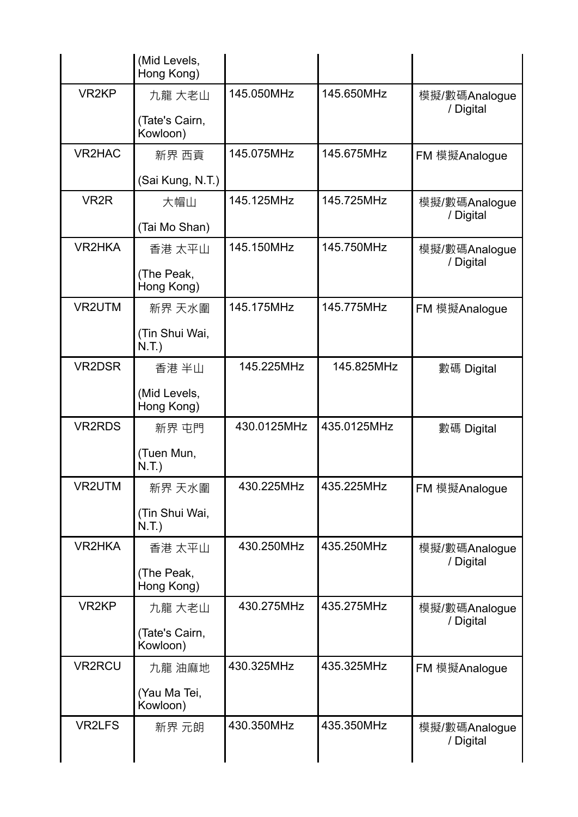| VR <sub>2KP</sub> | 九龍 大老山                     | 145.050MHz  | 145.650MHz  | 模擬/數碼Analogue<br>/ Digital |
|-------------------|----------------------------|-------------|-------------|----------------------------|
|                   | (Tate's Cairn,<br>Kowloon) |             |             |                            |
| VR2HAC            | 新界 西貢                      | 145.075MHz  | 145.675MHz  | FM 模擬Analogue              |
|                   | (Sai Kung, N.T.)           |             |             |                            |
| VR <sub>2</sub> R | 大帽山                        | 145.125MHz  | 145.725MHz  | 模擬/數碼Analogue              |
|                   | (Tai Mo Shan)              |             |             | / Digital                  |
| <b>VR2HKA</b>     | 香港 太平山                     | 145.150MHz  | 145.750MHz  | 模擬/數碼Analogue              |
|                   | (The Peak,<br>Hong Kong)   |             |             | / Digital                  |
| VR2UTM            | 新界 天水圍                     | 145.175MHz  | 145.775MHz  | FM 模擬Analogue              |
|                   | (Tin Shui Wai,<br>N.T.)    |             |             |                            |
| VR2DSR            | 香港 半山                      | 145.225MHz  | 145.825MHz  | 數碼 Digital                 |
|                   | (Mid Levels,<br>Hong Kong) |             |             |                            |
| <b>VR2RDS</b>     | 新界 屯門                      | 430.0125MHz | 435.0125MHz | 數碼 Digital                 |
|                   | (Tuen Mun,<br>N.T.)        |             |             |                            |
| VR2UTM            | 新界 天水圍                     | 430.225MHz  | 435.225MHz  | FM 模擬Analogue              |
|                   | (Tin Shui Wai,<br>N.T.)    |             |             |                            |
| VR2HKA            | 香港 太平山                     | 430.250MHz  | 435.250MHz  | 模擬/數碼Analogue              |
|                   | (The Peak,<br>Hong Kong)   |             |             | / Digital                  |
| VR <sub>2KP</sub> | 九龍 大老山                     | 430.275MHz  | 435.275MHz  | 模擬/數碼Analogue              |
|                   | (Tate's Cairn,<br>Kowloon) |             |             | / Digital                  |
| <b>VR2RCU</b>     | 九龍 油麻地                     | 430.325MHz  | 435.325MHz  | FM 模擬Analogue              |
|                   | (Yau Ma Tei,<br>Kowloon)   |             |             |                            |
| <b>VR2LFS</b>     | 新界 元朗                      | 430.350MHz  | 435.350MHz  | 模擬/數碼Analogue<br>/ Digital |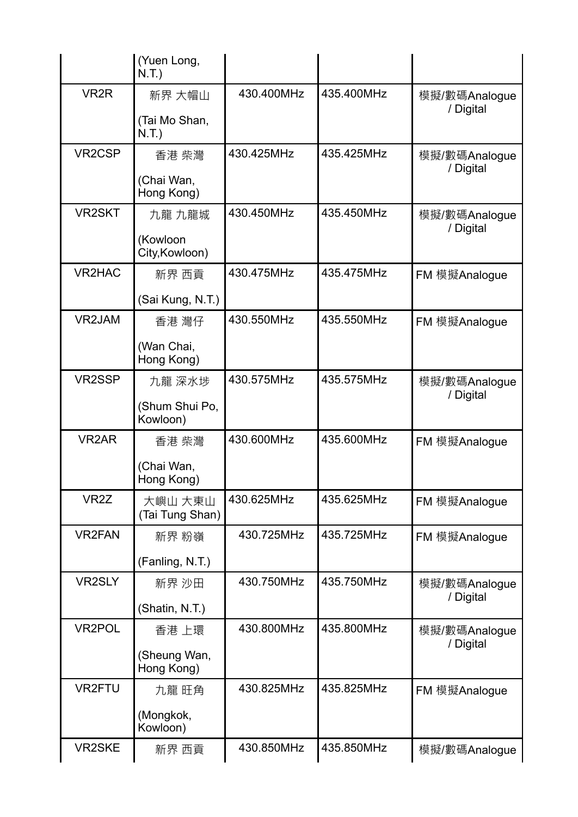|                     | (Yuen Long,<br>N.T.)       |            |            |                            |
|---------------------|----------------------------|------------|------------|----------------------------|
| VR <sub>2</sub> R   | 新界 大帽山                     | 430.400MHz | 435.400MHz | 模擬/數碼Analogue<br>/ Digital |
|                     | (Tai Mo Shan,<br>N.T.)     |            |            |                            |
| VR <sub>2</sub> CSP | 香港 柴灣                      | 430.425MHz | 435.425MHz | 模擬/數碼Analogue<br>/ Digital |
|                     | (Chai Wan,<br>Hong Kong)   |            |            |                            |
| <b>VR2SKT</b>       | 九龍 九龍城                     | 430.450MHz | 435.450MHz | 模擬/數碼Analogue<br>/ Digital |
|                     | (Kowloon<br>City, Kowloon) |            |            |                            |
| <b>VR2HAC</b>       | 新界 西貢                      | 430.475MHz | 435.475MHz | FM 模擬Analogue              |
|                     | (Sai Kung, N.T.)           |            |            |                            |
| VR2JAM              | 香港 灣仔                      | 430.550MHz | 435.550MHz | FM 模擬Analogue              |
|                     | (Wan Chai,<br>Hong Kong)   |            |            |                            |
| VR2SSP              | 九龍 深水埗                     | 430.575MHz | 435.575MHz | 模擬/數碼Analogue<br>/ Digital |
|                     | (Shum Shui Po,<br>Kowloon) |            |            |                            |
| <b>VR2AR</b>        | 香港 柴灣                      | 430.600MHz | 435.600MHz | FM 模擬Analogue              |
|                     | (Chai Wan,<br>Hong Kong)   |            |            |                            |
| VR <sub>2</sub> Z   | 大嶼山 大東山<br>(Tai Tung Shan) | 430.625MHz | 435.625MHz | FM 模擬Analogue              |
| <b>VR2FAN</b>       | 新界 粉嶺                      | 430.725MHz | 435.725MHz | FM 模擬Analogue              |
|                     | (Fanling, N.T.)            |            |            |                            |
| VR2SLY              | 新界 沙田                      | 430.750MHz | 435.750MHz | 模擬/數碼Analogue<br>/ Digital |
|                     | (Shatin, N.T.)             |            |            |                            |
| <b>VR2POL</b>       | 香港 上環                      | 430.800MHz | 435.800MHz | 模擬/數碼Analogue<br>/ Digital |
|                     | (Sheung Wan,<br>Hong Kong) |            |            |                            |
| <b>VR2FTU</b>       | 九龍 旺角                      | 430.825MHz | 435.825MHz | FM 模擬Analogue              |
|                     | (Mongkok,<br>Kowloon)      |            |            |                            |
| <b>VR2SKE</b>       | 新界 西貢                      | 430.850MHz | 435.850MHz | 模擬/數碼Analogue              |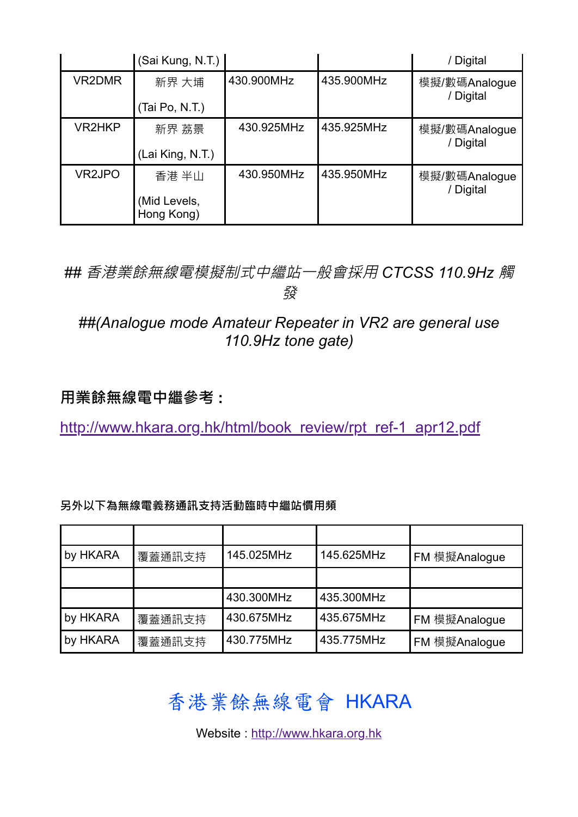|        | (Sai Kung, N.T.)                    |            |            | / Digital                  |
|--------|-------------------------------------|------------|------------|----------------------------|
| VR2DMR | 新界 大埔<br>(Tai Po, N.T.)             | 430.900MHz | 435.900MHz | 模擬/數碼Analogue<br>/ Digital |
| VR2HKP | 新界 荔景<br>(Lai King, N.T.)           | 430.925MHz | 435.925MHz | 模擬/數碼Analogue<br>/ Digital |
| VR2JPO | 香港 半山<br>(Mid Levels,<br>Hong Kong) | 430.950MHz | 435.950MHz | 模擬/數碼Analogue<br>/ Digital |

*##* 香港業餘無線電模擬制式中繼站一般會採用 *CTCSS 110.9Hz* 觸 發

## *##(Analogue mode Amateur Repeater in VR2 are general use 110.9Hz tone gate)*

## **用業餘無線電中繼參考 :**

[http://www.hkara.org.hk/html/book\\_review/rpt\\_ref-1\\_apr12.pdf](http://www.hkara.org.hk/html/book_review/rpt_ref-1_apr12.pdf)

| 另外以下為無線電義務通訊支持活動臨時中繼站慣用頻 |  |
|--------------------------|--|
|--------------------------|--|

| by HKARA | 覆蓋通訊支持 | 145.025MHz | 145.625MHz | FM 模擬Analogue |
|----------|--------|------------|------------|---------------|
|          |        |            |            |               |
|          |        | 430.300MHz | 435.300MHz |               |
| by HKARA | 覆蓋通訊支持 | 430.675MHz | 435.675MHz | FM 模擬Analogue |
| by HKARA | 覆蓋通訊支持 | 430.775MHz | 435.775MHz | FM 模擬Analogue |

香港業餘無線電會 HKARA

Website : [http://www.hkara.org.hk](http://www.hkara.org.hk/)